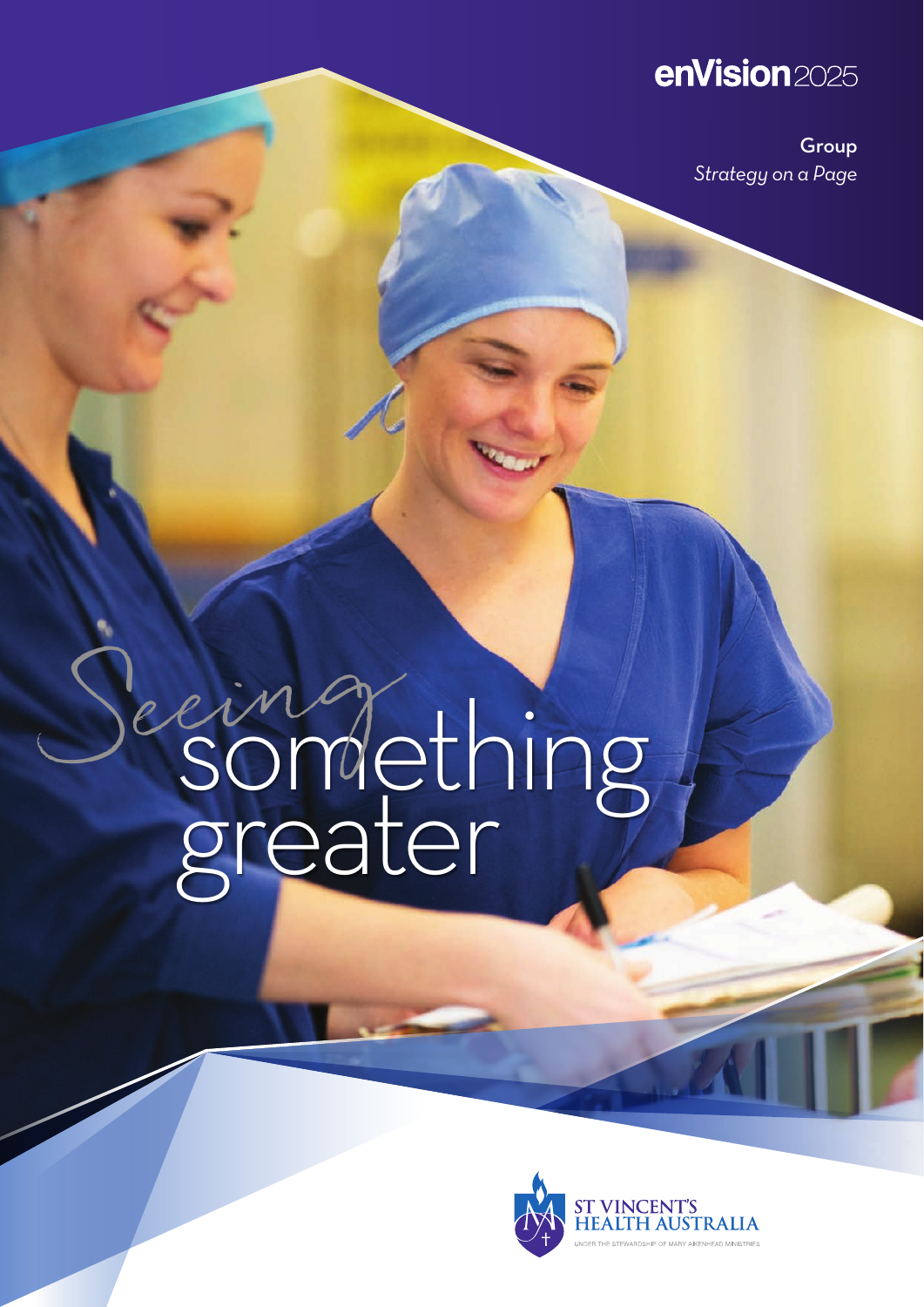## enVision2025

Group *Strategy on a Page*

# ermanething greater Seeing

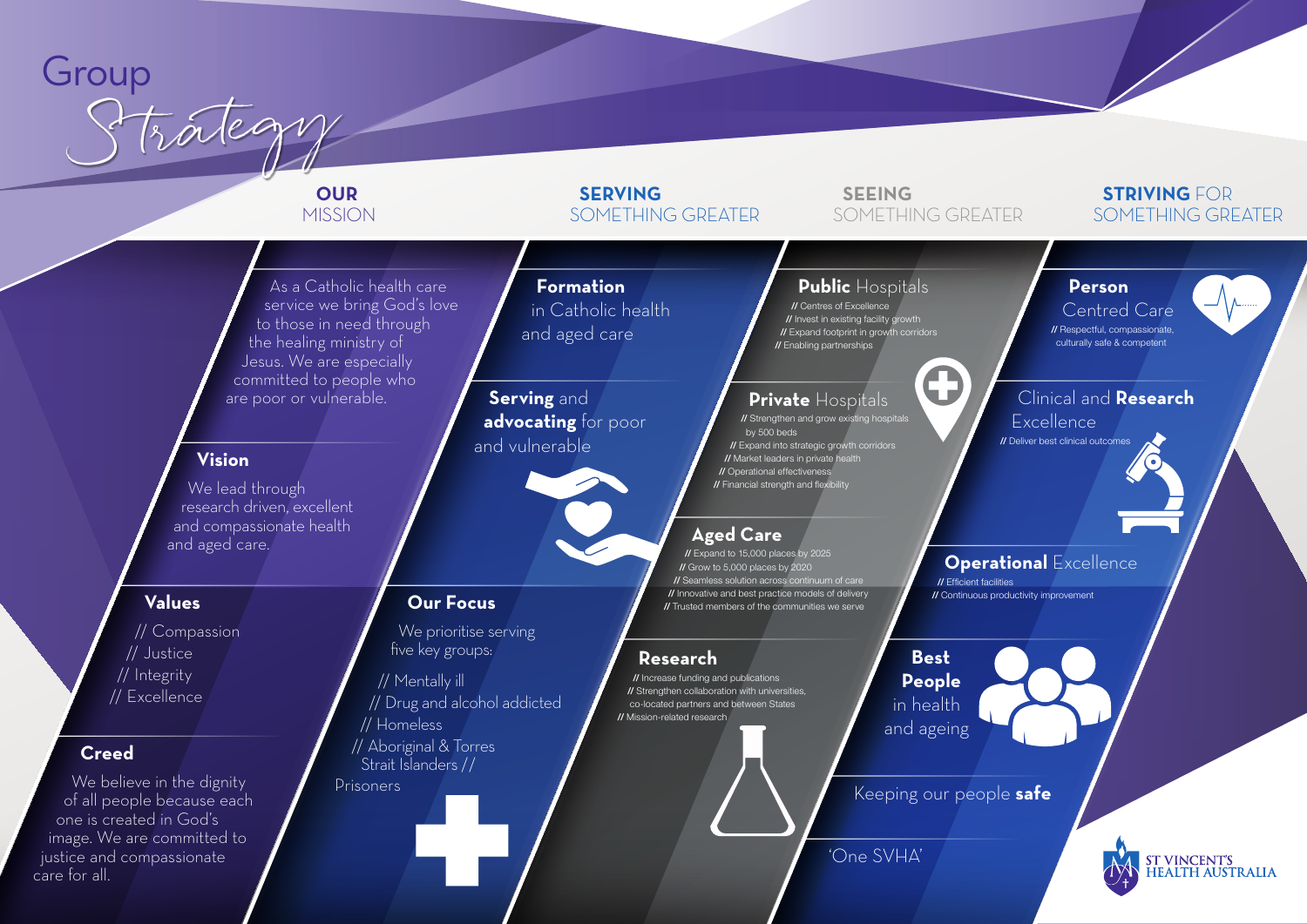#### As a Catholic health care service we bring God's love to those in need through the healing ministry of Jesus. We are especially committed to people who are poor or vulnerable.

We prioritise serving five key groups:

## **Our Focus**

// Mentally ill // Drug and alcohol addicted // Homeless // Aboriginal & Torres Strait Islanders // Prisoners

## **Public** Hospitals

// Centres of Excellence // Invest in existing facility growth // Expand footprint in growth corridors // Enabling partnerships

'One SVHA'

Keeping our people **safe**

## **Formation** in Catholic health and aged care

**Serving** and **advocating** for poor and vulnerable

We believe in the dignity of all people because each one is created in God's image. We are committed to justice and compassionate care for all.

## **Private** Hospitals

// Strengthen and grow existing hospitals by 500 beds **// Expand into strategic growth corridors** // Market leaders in private health // Operational effectivenes // Financial strength and flexibility

## **Aged Care**

// Expand to 15,000 places by 2025 // Grow to 5,000 places by 2020 // Seamless solution across continuum of care // Innovative and best practice models of delivery // Trusted members of the communities we serve

## **Creed**

#### **Vision**

We lead through research driven, excellent and compassionate health and aged care.

#### **Values**

// Compassion // Justice // Integrity // Excellence

## **Operational** Excellence

// Efficient facilities // Continuous productivity improvement





ST VINCENT'S<br>HEALTH AUSTRALIA

## **Research**

// Increase funding and publications // Strengthen collaboration with universities, co-located partners and between States // Mission-related research

 **Best People** in health and ageing

0

#### **Person**

#### Centred Care

// Respectful, compassionate, culturally safe & competent

## Clinical and **Research**

**Excellence** 

// Deliver best clinical outcomes

## Group Strategy

## **OUR** MISSION

## **SERVING** SOMETHING GREATER

 **SEEING**

## SOMETHING GREATER

#### **STRIVING** FOR SOMETHING GREATER